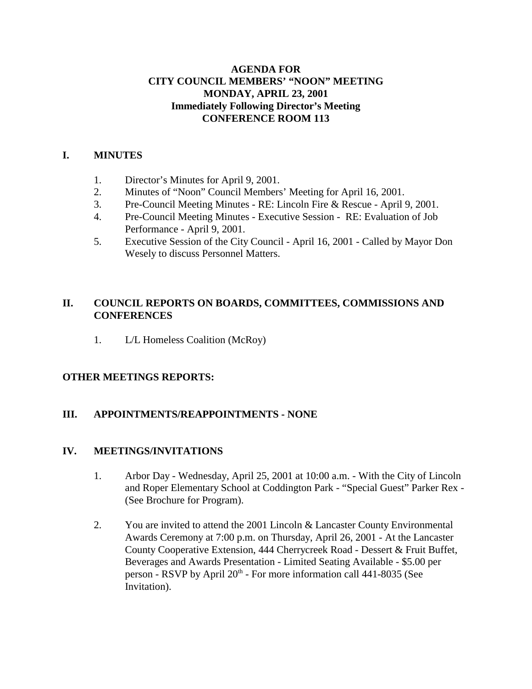#### **AGENDA FOR CITY COUNCIL MEMBERS' "NOON" MEETING MONDAY, APRIL 23, 2001 Immediately Following Director's Meeting CONFERENCE ROOM 113**

#### **I. MINUTES**

- 1. Director's Minutes for April 9, 2001.
- 2. Minutes of "Noon" Council Members' Meeting for April 16, 2001.
- 3. Pre-Council Meeting Minutes RE: Lincoln Fire & Rescue April 9, 2001.
- 4. Pre-Council Meeting Minutes Executive Session RE: Evaluation of Job Performance - April 9, 2001.
- 5. Executive Session of the City Council April 16, 2001 Called by Mayor Don Wesely to discuss Personnel Matters.

## **II. COUNCIL REPORTS ON BOARDS, COMMITTEES, COMMISSIONS AND CONFERENCES**

1. L/L Homeless Coalition (McRoy)

## **OTHER MEETINGS REPORTS:**

## **III. APPOINTMENTS/REAPPOINTMENTS - NONE**

#### **IV. MEETINGS/INVITATIONS**

- 1. Arbor Day Wednesday, April 25, 2001 at 10:00 a.m. With the City of Lincoln and Roper Elementary School at Coddington Park - "Special Guest" Parker Rex - (See Brochure for Program).
- 2. You are invited to attend the 2001 Lincoln & Lancaster County Environmental Awards Ceremony at 7:00 p.m. on Thursday, April 26, 2001 - At the Lancaster County Cooperative Extension, 444 Cherrycreek Road - Dessert & Fruit Buffet, Beverages and Awards Presentation - Limited Seating Available - \$5.00 per person - RSVP by April 20<sup>th</sup> - For more information call 441-8035 (See Invitation).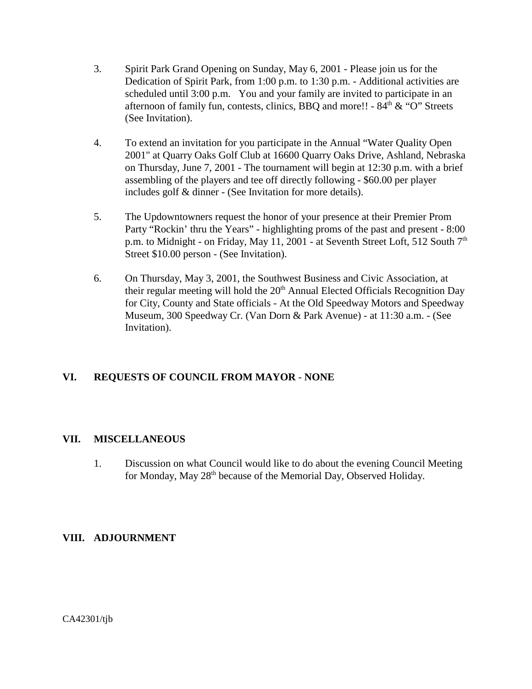- 3. Spirit Park Grand Opening on Sunday, May 6, 2001 Please join us for the Dedication of Spirit Park, from 1:00 p.m. to 1:30 p.m. - Additional activities are scheduled until 3:00 p.m. You and your family are invited to participate in an afternoon of family fun, contests, clinics, BBQ and more!! -  $84<sup>th</sup> \& ^{\circ}$  O" Streets (See Invitation).
- 4. To extend an invitation for you participate in the Annual "Water Quality Open 2001" at Quarry Oaks Golf Club at 16600 Quarry Oaks Drive, Ashland, Nebraska on Thursday, June 7, 2001 - The tournament will begin at 12:30 p.m. with a brief assembling of the players and tee off directly following - \$60.00 per player includes golf & dinner - (See Invitation for more details).
- 5. The Updowntowners request the honor of your presence at their Premier Prom Party "Rockin' thru the Years" - highlighting proms of the past and present - 8:00 p.m. to Midnight - on Friday, May 11, 2001 - at Seventh Street Loft, 512 South 7<sup>th</sup> Street \$10.00 person - (See Invitation).
- 6. On Thursday, May 3, 2001, the Southwest Business and Civic Association, at their regular meeting will hold the  $20<sup>th</sup>$  Annual Elected Officials Recognition Day for City, County and State officials - At the Old Speedway Motors and Speedway Museum, 300 Speedway Cr. (Van Dorn & Park Avenue) - at 11:30 a.m. - (See Invitation).

## **VI. REQUESTS OF COUNCIL FROM MAYOR** - **NONE**

#### **VII. MISCELLANEOUS**

1. Discussion on what Council would like to do about the evening Council Meeting for Monday, May 28<sup>th</sup> because of the Memorial Day, Observed Holiday.

#### **VIII. ADJOURNMENT**

CA42301/tjb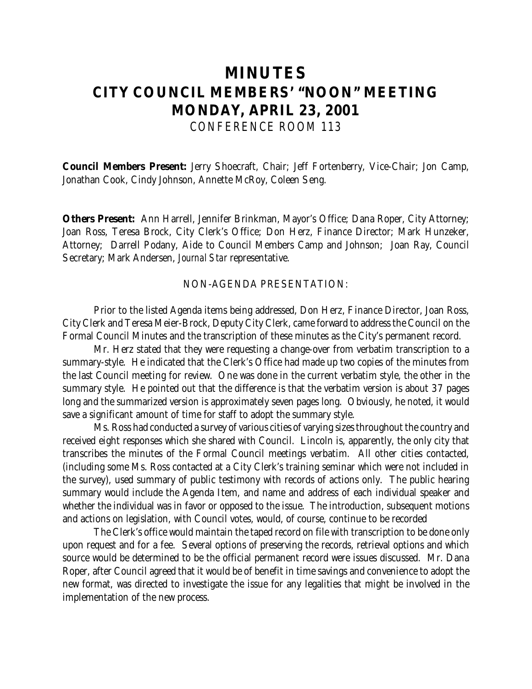# **MINUTES CITY COUNCIL MEMBERS' "NOON" MEETING MONDAY, APRIL 23, 2001** *CONFERENCE ROOM 113*

**Council Members Present:** Jerry Shoecraft, Chair; Jeff Fortenberry, Vice-Chair; Jon Camp, Jonathan Cook, Cindy Johnson, Annette McRoy, Coleen Seng.

**Others Present:** Ann Harrell, Jennifer Brinkman, Mayor's Office; Dana Roper, City Attorney; Joan Ross, Teresa Brock, City Clerk's Office; Don Herz, Finance Director; Mark Hunzeker, Attorney; Darrell Podany, Aide to Council Members Camp and Johnson; Joan Ray, Council Secretary; Mark Andersen, *Journal Star* representative.

#### NON-AGENDA PRESENTATION:

Prior to the listed Agenda items being addressed, Don Herz, Finance Director, Joan Ross, City Clerk and Teresa Meier-Brock, Deputy City Clerk, came forward to address the Council on the Formal Council Minutes and the transcription of these minutes as the City's permanent record.

Mr. Herz stated that they were requesting a change-over from verbatim transcription to a summary-style. He indicated that the Clerk's Office had made up two copies of the minutes from the last Council meeting for review. One was done in the current verbatim style, the other in the summary style. He pointed out that the difference is that the verbatim version is about 37 pages long and the summarized version is approximately seven pages long. Obviously, he noted, it would save a significant amount of time for staff to adopt the summary style.

Ms. Ross had conducted a survey of various cities of varying sizes throughout the country and received eight responses which she shared with Council. Lincoln is, apparently, the only city that transcribes the minutes of the Formal Council meetings verbatim. All other cities contacted, (including some Ms. Ross contacted at a City Clerk's training seminar which were not included in the survey), used summary of public testimony with records of actions only. The public hearing summary would include the Agenda Item, and name and address of each individual speaker and whether the individual was in favor or opposed to the issue. The introduction, subsequent motions and actions on legislation, with Council votes, would, of course, continue to be recorded

The Clerk's office would maintain the taped record on file with transcription to be done only upon request and for a fee. Several options of preserving the records, retrieval options and which source would be determined to be the official permanent record were issues discussed. Mr. Dana Roper, after Council agreed that it would be of benefit in time savings and convenience to adopt the new format, was directed to investigate the issue for any legalities that might be involved in the implementation of the new process.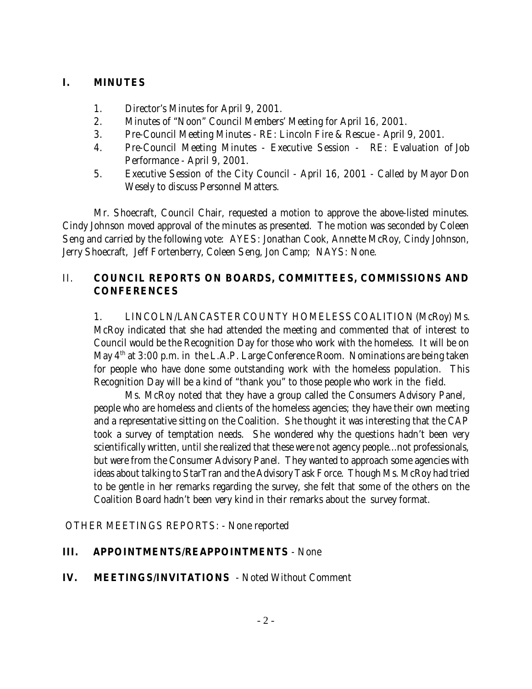## **I. MINUTES**

- 1. Director's Minutes for April 9, 2001.
- 2. Minutes of "Noon" Council Members' Meeting for April 16, 2001.
- 3. Pre-Council Meeting Minutes RE: Lincoln Fire & Rescue April 9, 2001.
- 4. Pre-Council Meeting Minutes Executive Session RE: Evaluation of Job Performance - April 9, 2001.
- 5. Executive Session of the City Council April 16, 2001 Called by Mayor Don Wesely to discuss Personnel Matters.

Mr. Shoecraft, Council Chair, requested a motion to approve the above-listed minutes. Cindy Johnson moved approval of the minutes as presented. The motion was seconded by Coleen Seng and carried by the following vote: AYES: Jonathan Cook, Annette McRoy, Cindy Johnson, Jerry Shoecraft, Jeff Fortenberry, Coleen Seng, Jon Camp; NAYS: None.

## II. **COUNCIL REPORTS ON BOARDS, COMMITTEES, COMMISSIONS AND CONFERENCES**

1. LINCOLN/LANCASTER COUNTY HOMELESS COALITION (McRoy) Ms. McRoy indicated that she had attended the meeting and commented that of interest to Council would be the Recognition Day for those who work with the homeless. It will be on May 4<sup>th</sup> at 3:00 p.m. in the L.A.P. Large Conference Room. Nominations are being taken for people who have done some outstanding work with the homeless population. This Recognition Day will be a kind of "thank you" to those people who work in the field.

Ms. McRoy noted that they have a group called the Consumers Advisory Panel, people who are homeless and clients of the homeless agencies; they have their own meeting and a representative sitting on the Coalition. She thought it was interesting that the CAP took a survey of temptation needs. She wondered why the questions hadn't been very scientifically written, until she realized that these were not agency people...not professionals, but were from the Consumer Advisory Panel. They wanted to approach some agencies with ideas about talking to StarTran and the Advisory Task Force. Though Ms. McRoy had tried to be gentle in her remarks regarding the survey, she felt that some of the others on the Coalition Board hadn't been very kind in their remarks about the survey format.

OTHER MEETINGS REPORTS: - None reported

## **III. APPOINTMENTS/REAPPOINTMENTS** - None

**IV. MEETINGS/INVITATIONS** - Noted Without Comment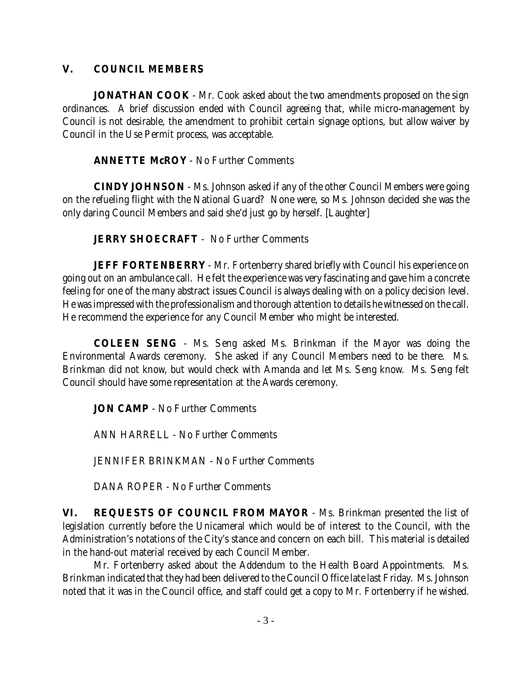#### **V. COUNCIL MEMBERS**

**JONATHAN COOK** - Mr. Cook asked about the two amendments proposed on the sign ordinances. A brief discussion ended with Council agreeing that, while micro-management by Council is not desirable, the amendment to prohibit certain signage options, but allow waiver by Council in the Use Permit process, was acceptable.

**ANNETTE McROY** - No Further Comments

**CINDY JOHNSON** - Ms. Johnson asked if any of the other Council Members were going on the refueling flight with the National Guard? None were, so Ms. Johnson decided she was the only daring Council Members and said she'd just go by herself. [Laughter]

**JERRY SHOECRAFT** - No Further Comments

**JEFF FORTENBERRY** - Mr. Fortenberry shared briefly with Council his experience on going out on an ambulance call. He felt the experience was very fascinating and gave him a concrete feeling for one of the many abstract issues Council is always dealing with on a policy decision level. He was impressed with the professionalism and thorough attention to details he witnessed on the call. He recommend the experience for any Council Member who might be interested.

**COLEEN SENG** - Ms. Seng asked Ms. Brinkman if the Mayor was doing the Environmental Awards ceremony. She asked if any Council Members need to be there. Ms. Brinkman did not know, but would check with Amanda and let Ms. Seng know. Ms. Seng felt Council should have some representation at the Awards ceremony.

**JON CAMP** - No Further Comments

ANN HARRELL - No Further Comments

JENNIFER BRINKMAN - No Further Comments

DANA ROPER - No Further Comments

**VI. REQUESTS OF COUNCIL FROM MAYOR** - Ms. Brinkman presented the list of legislation currently before the Unicameral which would be of interest to the Council, with the Administration's notations of the City's stance and concern on each bill. This material is detailed in the hand-out material received by each Council Member.

Mr. Fortenberry asked about the Addendum to the Health Board Appointments. Ms. Brinkman indicated that they had been delivered to the Council Office late last Friday. Ms. Johnson noted that it was in the Council office, and staff could get a copy to Mr. Fortenberry if he wished.